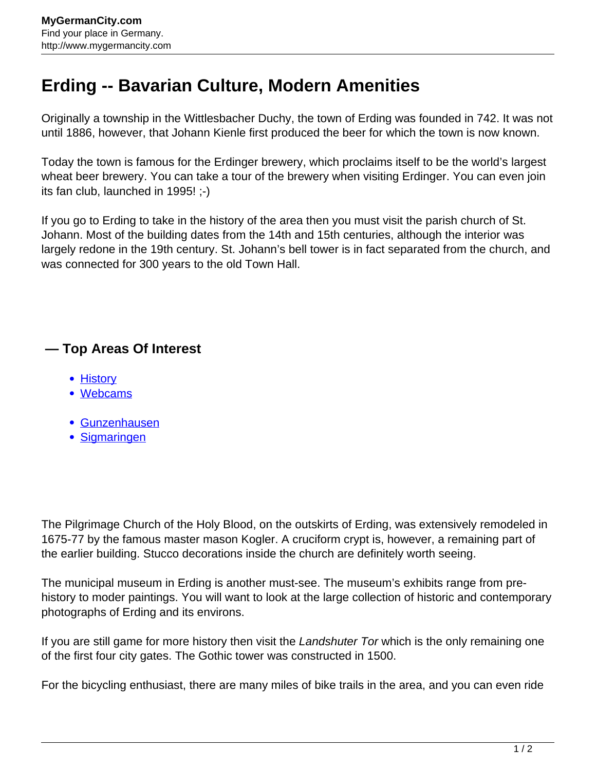## **Erding -- Bavarian Culture, Modern Amenities**

Originally a township in the Wittlesbacher Duchy, the town of Erding was founded in 742. It was not until 1886, however, that Johann Kienle first produced the beer for which the town is now known.

Today the town is famous for the Erdinger brewery, which proclaims itself to be the world's largest wheat beer brewery. You can take a tour of the brewery when visiting Erdinger. You can even join its fan club, launched in 1995! ;-)

If you go to Erding to take in the history of the area then you must visit the parish church of St. Johann. Most of the building dates from the 14th and 15th centuries, although the interior was largely redone in the 19th century. St. Johann's bell tower is in fact separated from the church, and was connected for 300 years to the old Town Hall.

## **— Top Areas Of Interest**

- [History](http://www.mygermancity.com/leipzig-history)
- [Webcams](http://www.mygermancity.com/neustadt-holstein-webcams)
- [Gunzenhausen](http://www.mygermancity.com/gunzenhausen)
- [Sigmaringen](http://www.mygermancity.com/sigmaringen)

The Pilgrimage Church of the Holy Blood, on the outskirts of Erding, was extensively remodeled in 1675-77 by the famous master mason Kogler. A cruciform crypt is, however, a remaining part of the earlier building. Stucco decorations inside the church are definitely worth seeing.

The municipal museum in Erding is another must-see. The museum's exhibits range from prehistory to moder paintings. You will want to look at the large collection of historic and contemporary photographs of Erding and its environs.

If you are still game for more history then visit the Landshuter Tor which is the only remaining one of the first four city gates. The Gothic tower was constructed in 1500.

For the bicycling enthusiast, there are many miles of bike trails in the area, and you can even ride